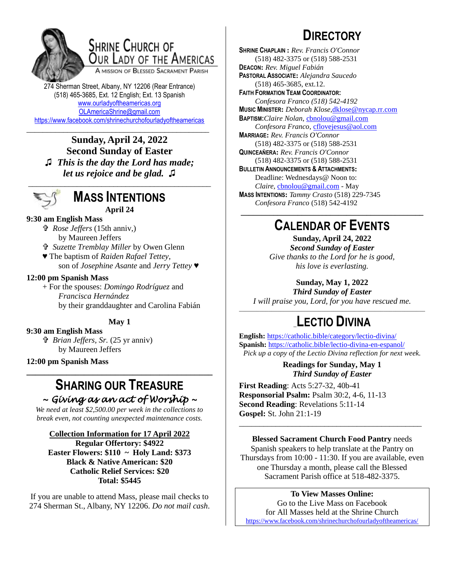

# **SHRINE CHURCH OF** OUR LADY OF THE AMERICAS

A MISSION OF BLESSED SACRAMENT PARISH

274 Sherman Street, Albany, NY 12206 (Rear Entrance) (518) 465-3685, Ext. 12 English; Ext. 13 Spanish [www.ourladyoftheamericas.org](http://www.ourladyoftheamericas.org/) [OLAmericaShrine@gmail.com](mailto:OLAmericaShrine@gmail.com) <https://www.facebook.com/shrinechurchofourladyoftheamericas>

\_\_\_\_\_\_\_\_\_\_\_\_\_\_\_\_\_\_\_\_\_\_\_\_\_\_\_\_\_\_\_\_\_\_\_\_\_\_\_\_\_\_\_\_\_ **Sunday, April 24, 2022 Second Sunday of Easter ♫** *This is the day the Lord has made; let us rejoice and be glad.* **♫**



### **MASS INTENTIONS April 24**

#### **9:30 am English Mass**

 *Rose Jeffers* (15th anniv,) by Maureen Jeffers

- *Suzette Tremblay Miller* by Owen Glenn
- ♥ The baptism of *Raiden Rafael Tettey*, son of *Josephine Asante* and *Jerry Tettey ♥*

#### **12:00 pm Spanish Mass**

+ For the spouses: *Domingo Rodríguez* and *Francisca Hernández* by their granddaughter and Carolina Fabián

### **May 1**

**9:30 am English Mass**

 *Brian Jeffers, Sr.* (25 yr anniv) by Maureen Jeffers

**12:00 pm Spanish Mass**

# **SHARING OUR TREASURE**

**\_\_\_\_\_\_\_\_\_\_\_\_\_\_\_\_\_\_\_\_\_\_\_\_\_\_\_\_\_\_\_\_\_\_\_\_\_\_\_\_\_\_**

*~ Giving as an act of Worship ~* 

*We need at least \$2,500.00 per week in the collections to break even, not counting unexpected maintenance costs.*

**Collection Information for 17 April 2022**

**Regular Offertory: \$4922 Easter Flowers: \$110 ~ Holy Land: \$373 Black & Native American: \$20 Catholic Relief Services: \$20 Total: \$5445**

If you are unable to attend Mass, please mail checks to 274 Sherman St., Albany, NY 12206. *Do not mail cash*.

# **DIRECTORY**

**SHRINE CHAPLAIN :** *Rev. Francis O'Connor* (518) 482-3375 or (518) 588-2531 **DEACON:** *Rev. Miguel Fabián* **PASTORAL ASSOCIATE:** *Alejandra Saucedo* (518) 465-3685, ext.12. **FAITH FORMATION TEAM COORDINATOR:** *Confesora Franco (518) 542-4192* **MUSIC MINISTER:** *Deborah Klose,*[dklose@nycap.rr.com](mailto:dklose@nycap.rr.com) **BAPTISM:***Claire Nolan*, [cbnolou@gmail.com](mailto:cbnolou@gmail.com) *Confesora Franco*, [cflovejesus@aol.com](mailto:cflovejesus@aol.com) **MARRIAGE:** *Rev. Francis O'Connor* (518) 482-3375 or (518) 588-2531 **QUINCEAÑERA:** *Rev. Francis O'Connor* (518) 482-3375 or (518) 588-2531 **BULLETIN ANNOUNCEMENTS & ATTACHMENTS:** Deadline: Wednesdays@ Noon to: *Claire,* [cbnolou@gmail.com](mailto:cbnolou@gmail.com) - May **MASS INTENTIONS:** *Tammy Crasto* (518) 229-7345 *Confesora Franco* (518) 542-4192 **\_\_\_\_\_\_\_\_\_\_\_\_\_\_\_\_\_\_\_\_\_\_\_\_\_\_\_\_\_\_\_\_\_\_\_\_\_\_\_\_\_\_\_\_\_**

# **CALENDAR OF EVENTS**

**Sunday, April 24, 2022** *Second Sunday of Easter Give thanks to the Lord for he is good, his love is everlasting.*

**Sunday, May 1, 2022**

*Third Sunday of Easter I will praise you, Lord, for you have rescued me.*

### \_\_\_\_\_\_\_\_\_\_\_\_\_\_\_\_\_\_\_\_\_\_\_\_\_\_\_\_\_\_\_\_\_\_\_\_\_\_\_\_\_\_\_\_\_\_\_\_\_\_\_\_\_\_\_\_\_\_\_\_\_\_\_ \_**LECTIO DIVINA**

**English:** <https://catholic.bible/category/lectio-divina/> **Spanish:** <https://catholic.bible/lectio-divina-en-espanol/> *Pick up a copy of the Lectio Divina reflection for next week.*

#### **Readings for Sunday, May 1** *Third Sunday of Easter*

**First Reading**: Acts 5:27-32, 40b-41 **Responsorial Psalm:** Psalm 30:2, 4-6, 11-13 **Second Reading**: Revelations 5:11-14 **Gospel:** St. John 21:1-19

**Blessed Sacrament Church Food Pantry** needs Spanish speakers to help translate at the Pantry on Thursdays from 10:00 - 11:30. If you are available, even one Thursday a month, please call the Blessed Sacrament Parish office at 518-482-3375.

\_\_\_\_\_\_\_\_\_\_\_\_\_\_\_\_\_\_\_\_\_\_\_\_\_\_\_\_\_\_\_\_\_\_\_\_\_\_\_\_\_\_\_\_\_

### **To View Masses Online:**

Go to the Live Mass on Facebook for All Masses held at the Shrine Church <https://www.facebook.com/shrinechurchofourladyoftheamericas/>